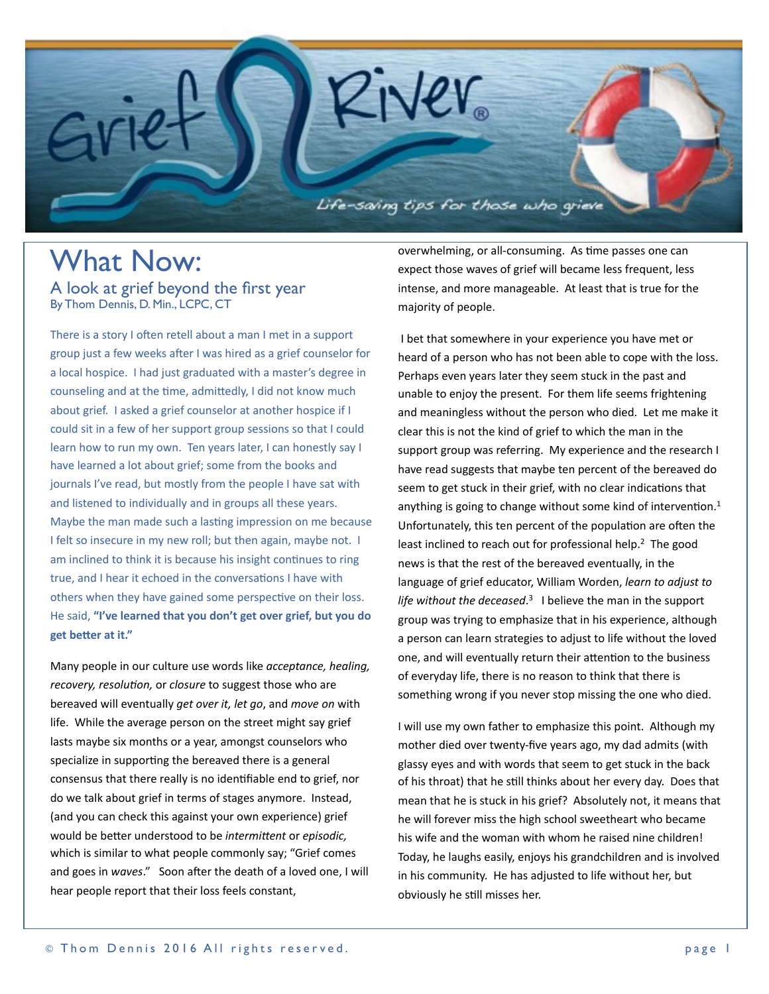

## What Now: A look at grief beyond the first year By Thom Dennis, D. Min., LCPC, CT

There is a story I often retell about a man I met in a support group just a few weeks after I was hired as a grief counselor for a local hospice. I had just graduated with a master's degree in counseling and at the time, admittedly, I did not know much about grief. I asked a grief counselor at another hospice if I could sit in a few of her support group sessions so that I could learn how to run my own. Ten years later, I can honestly say I have learned a lot about grief; some from the books and journals I've read, but mostly from the people I have sat with and listened to individually and in groups all these years. Maybe the man made such a lasting impression on me because I felt so insecure in my new roll; but then again, maybe not. I am inclined to think it is because his insight continues to ring true, and I hear it echoed in the conversations I have with others when they have gained some perspective on their loss. He said, "I've learned that you don't get over grief, but you do get better at it."

Many people in our culture use words like *acceptance*, *healing*, *recovery, resolution,* or *closure* to suggest those who are bereaved will eventually *get over it, let go*, and *move on* with life. While the average person on the street might say grief lasts maybe six months or a year, amongst counselors who specialize in supporting the bereaved there is a general consensus that there really is no identifiable end to grief, nor do we talk about grief in terms of stages anymore. Instead, (and you can check this against your own experience) grief would be better understood to be *intermittent* or *episodic*, which is similar to what people commonly say; "Grief comes and goes in *waves*." Soon after the death of a loved one, I will hear people report that their loss feels constant,

overwhelming, or all-consuming. As time passes one can expect those waves of grief will became less frequent, less intense, and more manageable. At least that is true for the majority of people.

I bet that somewhere in your experience you have met or heard of a person who has not been able to cope with the loss. Perhaps even years later they seem stuck in the past and unable to enjoy the present. For them life seems frightening and meaningless without the person who died. Let me make it clear this is not the kind of grief to which the man in the support group was referring. My experience and the research I have read suggests that maybe ten percent of the bereaved do seem to get stuck in their grief, with no clear indications that anything is going to change without some kind of intervention.<sup>1</sup> Unfortunately, this ten percent of the population are often the least inclined to reach out for professional help.<sup>2</sup> The good news is that the rest of the bereaved eventually, in the language of grief educator, William Worden, *learn to adjust to* life without the deceased.<sup>3</sup> I believe the man in the support group was trying to emphasize that in his experience, although a person can learn strategies to adjust to life without the loved one, and will eventually return their attention to the business of everyday life, there is no reason to think that there is something wrong if you never stop missing the one who died.

I will use my own father to emphasize this point. Although my mother died over twenty-five years ago, my dad admits (with glassy eyes and with words that seem to get stuck in the back of his throat) that he still thinks about her every day. Does that mean that he is stuck in his grief? Absolutely not, it means that he will forever miss the high school sweetheart who became his wife and the woman with whom he raised nine children! Today, he laughs easily, enjoys his grandchildren and is involved in his community. He has adjusted to life without her, but obviously he still misses her.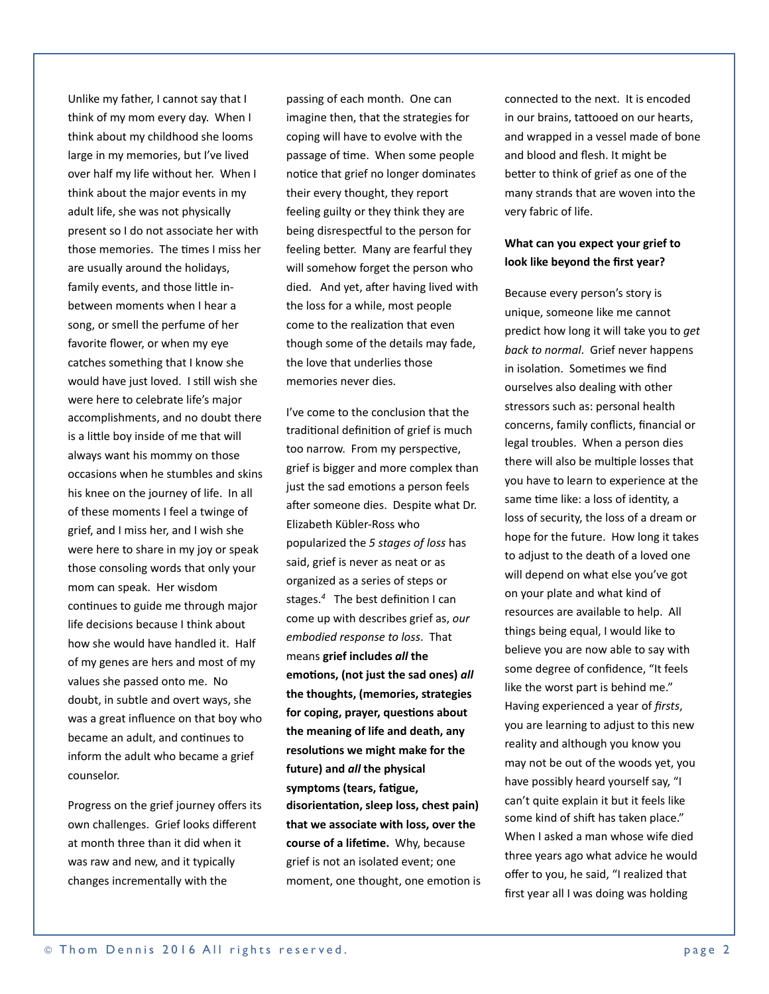Unlike my father, I cannot say that I think of my mom every day. When I think about my childhood she looms large in my memories, but I've lived over half my life without her. When I think about the major events in my adult life, she was not physically present so I do not associate her with those memories. The times I miss her are usually around the holidays, family events, and those little inbetween moments when I hear a song, or smell the perfume of her favorite flower, or when my eye catches something that I know she would have just loved. I still wish she were here to celebrate life's major accomplishments, and no doubt there is a little boy inside of me that will always want his mommy on those occasions when he stumbles and skins his knee on the journey of life. In all of these moments I feel a twinge of grief, and I miss her, and I wish she were here to share in my joy or speak those consoling words that only your mom can speak. Her wisdom continues to guide me through major life decisions because I think about how she would have handled it. Half of my genes are hers and most of my values she passed onto me. No doubt, in subtle and overt ways, she was a great influence on that boy who became an adult, and continues to inform the adult who became a grief counselor. 

Progress on the grief journey offers its own challenges. Grief looks different at month three than it did when it was raw and new, and it typically changes incrementally with the

passing of each month. One can imagine then, that the strategies for coping will have to evolve with the passage of time. When some people notice that grief no longer dominates their every thought, they report feeling guilty or they think they are being disrespectful to the person for feeling better. Many are fearful they will somehow forget the person who died. And yet, after having lived with the loss for a while, most people come to the realization that even though some of the details may fade, the love that underlies those memories never dies.

I've come to the conclusion that the traditional definition of grief is much too narrow. From my perspective, grief is bigger and more complex than just the sad emotions a person feels after someone dies. Despite what Dr. Elizabeth Kübler-Ross who popularized the *5 stages of loss* has said, grief is never as neat or as organized as a series of steps or stages. $4$  The best definition I can come up with describes grief as, our *embodied response to loss*. That means grief includes *all* the emotions, (not just the sad ones) all the thoughts, (memories, strategies for coping, prayer, questions about the meaning of life and death, any resolutions we might make for the future) and *all* the physical symptoms (tears, fatigue, disorientation, sleep loss, chest pain) **that we associate with loss, over the course of a lifetime.** Why, because grief is not an isolated event; one moment, one thought, one emotion is connected to the next. It is encoded in our brains, tattooed on our hearts, and wrapped in a vessel made of bone and blood and flesh. It might be better to think of grief as one of the many strands that are woven into the very fabric of life.

## **What can you expect your grief to** look like beyond the first year?

Because every person's story is unique, someone like me cannot predict how long it will take you to *get* back to normal. Grief never happens in isolation. Sometimes we find ourselves also dealing with other stressors such as: personal health concerns, family conflicts, financial or legal troubles. When a person dies there will also be multiple losses that you have to learn to experience at the same time like: a loss of identity, a loss of security, the loss of a dream or hope for the future. How long it takes to adjust to the death of a loved one will depend on what else you've got on your plate and what kind of resources are available to help. All things being equal, I would like to believe you are now able to say with some degree of confidence, "It feels like the worst part is behind me." Having experienced a year of *firsts*, you are learning to adjust to this new reality and although you know you may not be out of the woods yet, you have possibly heard yourself say, "I can't quite explain it but it feels like some kind of shift has taken place." When I asked a man whose wife died three years ago what advice he would offer to you, he said, "I realized that first year all I was doing was holding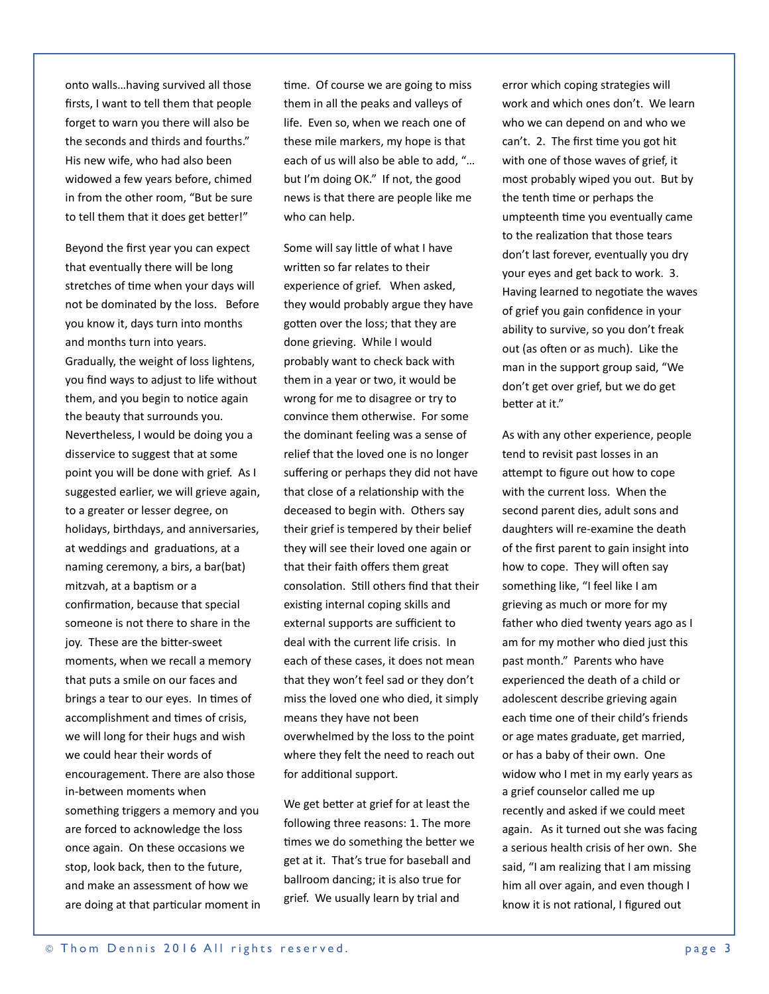onto walls...having survived all those firsts, I want to tell them that people forget to warn you there will also be the seconds and thirds and fourths." His new wife, who had also been widowed a few years before, chimed in from the other room, "But be sure to tell them that it does get better!"

Beyond the first year you can expect that eventually there will be long stretches of time when your days will not be dominated by the loss. Before you know it, days turn into months and months turn into years. Gradually, the weight of loss lightens, you find ways to adjust to life without them, and you begin to notice again the beauty that surrounds you. Nevertheless, I would be doing you a disservice to suggest that at some point you will be done with grief. As I suggested earlier, we will grieve again, to a greater or lesser degree, on holidays, birthdays, and anniversaries, at weddings and graduations, at a naming ceremony, a birs, a bar(bat) mitzvah, at a baptism or a confirmation, because that special someone is not there to share in the joy. These are the bitter-sweet moments, when we recall a memory that puts a smile on our faces and brings a tear to our eyes. In times of accomplishment and times of crisis, we will long for their hugs and wish we could hear their words of encouragement. There are also those in-between moments when something triggers a memory and you are forced to acknowledge the loss once again. On these occasions we stop, look back, then to the future, and make an assessment of how we are doing at that particular moment in time. Of course we are going to miss them in all the peaks and valleys of life. Even so, when we reach one of these mile markers, my hope is that each of us will also be able to add, "... but I'm doing OK." If not, the good news is that there are people like me who can help.

Some will say little of what I have written so far relates to their experience of grief. When asked, they would probably argue they have gotten over the loss; that they are done grieving. While I would probably want to check back with them in a year or two, it would be wrong for me to disagree or try to convince them otherwise. For some the dominant feeling was a sense of relief that the loved one is no longer suffering or perhaps they did not have that close of a relationship with the deceased to begin with. Others say their grief is tempered by their belief they will see their loved one again or that their faith offers them great consolation. Still others find that their existing internal coping skills and external supports are sufficient to deal with the current life crisis. In each of these cases, it does not mean that they won't feel sad or they don't miss the loved one who died, it simply means they have not been overwhelmed by the loss to the point where they felt the need to reach out for additional support.

We get better at grief for at least the following three reasons: 1. The more times we do something the better we get at it. That's true for baseball and ballroom dancing; it is also true for grief. We usually learn by trial and

error which coping strategies will work and which ones don't. We learn who we can depend on and who we can't. 2. The first time you got hit with one of those waves of grief, it most probably wiped you out. But by the tenth time or perhaps the umpteenth time you eventually came to the realization that those tears don't last forever, eventually you dry your eyes and get back to work. 3. Having learned to negotiate the waves of grief you gain confidence in your ability to survive, so you don't freak out (as often or as much). Like the man in the support group said, "We don't get over grief, but we do get better at it."

As with any other experience, people tend to revisit past losses in an attempt to figure out how to cope with the current loss. When the second parent dies, adult sons and daughters will re-examine the death of the first parent to gain insight into how to cope. They will often say something like, "I feel like I am grieving as much or more for my father who died twenty years ago as I am for my mother who died just this past month." Parents who have experienced the death of a child or adolescent describe grieving again each time one of their child's friends or age mates graduate, get married, or has a baby of their own. One widow who I met in my early years as a grief counselor called me up recently and asked if we could meet again. As it turned out she was facing a serious health crisis of her own. She said, "I am realizing that I am missing him all over again, and even though I know it is not rational, I figured out